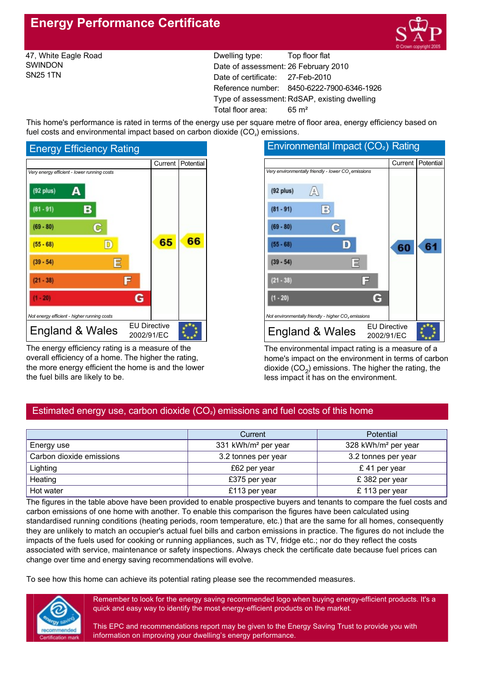# **Energy Performance Certificate**



47, White Eagle Road SWINDON SN25 1TN

Dwelling type: Top floor flat Date of assessment: 26 February 2010 Date of certificate: 27-Feb-2010 Reference number: 8450-6222-7900-6346-1926 Type of assessment: RdSAP, existing dwelling Total floor area: 65 m²

This home's performance is rated in terms of the energy use per square metre of floor area, energy efficiency based on fuel costs and environmental impact based on carbon dioxide  $(CO<sub>2</sub>)$  emissions.



The energy efficiency rating is a measure of the overall efficiency of a home. The higher the rating, the more energy efficient the home is and the lower the fuel bills are likely to be.



The environmental impact rating is a measure of a home's impact on the environment in terms of carbon dioxide  $(CO<sub>2</sub>)$  emissions. The higher the rating, the less impact it has on the environment.

# Estimated energy use, carbon dioxide  $(CO<sub>2</sub>)$  emissions and fuel costs of this home

|                          | Current                         | <b>Potential</b>                |  |
|--------------------------|---------------------------------|---------------------------------|--|
| Energy use               | 331 kWh/m <sup>2</sup> per year | 328 kWh/m <sup>2</sup> per year |  |
| Carbon dioxide emissions | 3.2 tonnes per year             | 3.2 tonnes per year             |  |
| Lighting                 | £62 per year                    | £41 per year                    |  |
| Heating                  | £375 per year                   | £382 per year                   |  |
| Hot water                | £113 per year                   | £ 113 per year                  |  |

The figures in the table above have been provided to enable prospective buyers and tenants to compare the fuel costs and carbon emissions of one home with another. To enable this comparison the figures have been calculated using standardised running conditions (heating periods, room temperature, etc.) that are the same for all homes, consequently they are unlikely to match an occupier's actual fuel bills and carbon emissions in practice. The figures do not include the impacts of the fuels used for cooking or running appliances, such as TV, fridge etc.; nor do they reflect the costs associated with service, maintenance or safety inspections. Always check the certificate date because fuel prices can change over time and energy saving recommendations will evolve.

To see how this home can achieve its potential rating please see the recommended measures.



Remember to look for the energy saving recommended logo when buying energyefficient products. It's a quick and easy way to identify the most energy-efficient products on the market.

This EPC and recommendations report may be given to the Energy Saving Trust to provide you with information on improving your dwelling's energy performance.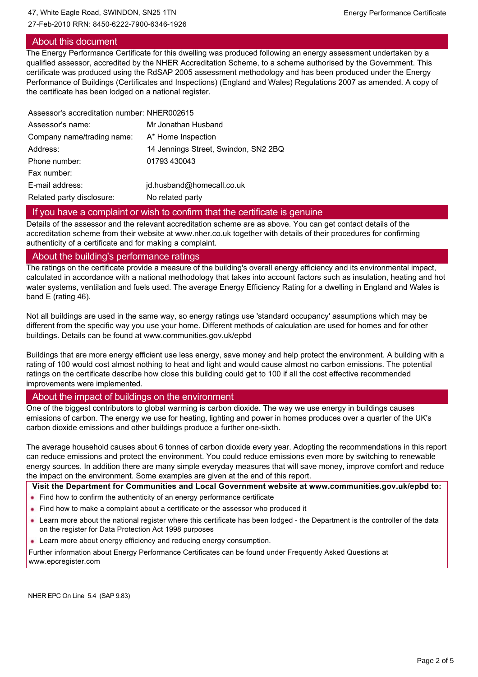## 27-Feb-2010 RRN: 8450-6222-7900-6346-1926

## About this document

The Energy Performance Certificate for this dwelling was produced following an energy assessment undertaken by a qualified assessor, accredited by the NHER Accreditation Scheme, to a scheme authorised by the Government. This certificate was produced using the RdSAP 2005 assessment methodology and has been produced under the Energy Performance of Buildings (Certificates and Inspections) (England and Wales) Regulations 2007 as amended. A copy of the certificate has been lodged on a national register.

| Assessor's accreditation number: NHER002615 |                                      |
|---------------------------------------------|--------------------------------------|
| Assessor's name:                            | Mr Jonathan Husband                  |
| Company name/trading name:                  | A* Home Inspection                   |
| Address:                                    | 14 Jennings Street, Swindon, SN2 2BQ |
| Phone number:                               | 01793 430043                         |
| Fax number:                                 |                                      |
| E-mail address:                             | jd.husband@homecall.co.uk            |
| Related party disclosure:                   | No related party                     |
|                                             |                                      |

## If you have a complaint or wish to confirm that the certificate is genuine

Details of the assessor and the relevant accreditation scheme are as above. You can get contact details of the accreditation scheme from their website at www.nher.co.uk together with details of their procedures for confirming authenticity of a certificate and for making a complaint.

## About the building's performance ratings

The ratings on the certificate provide a measure of the building's overall energy efficiency and its environmental impact, calculated in accordance with a national methodology that takes into account factors such as insulation, heating and hot water systems, ventilation and fuels used. The average Energy Efficiency Rating for a dwelling in England and Wales is band E (rating 46).

Not all buildings are used in the same way, so energy ratings use 'standard occupancy' assumptions which may be different from the specific way you use your home. Different methods of calculation are used for homes and for other buildings. Details can be found at www.communities.gov.uk/epbd

Buildings that are more energy efficient use less energy, save money and help protect the environment. A building with a rating of 100 would cost almost nothing to heat and light and would cause almost no carbon emissions. The potential ratings on the certificate describe how close this building could get to 100 if all the cost effective recommended improvements were implemented.

## About the impact of buildings on the environment

One of the biggest contributors to global warming is carbon dioxide. The way we use energy in buildings causes emissions of carbon. The energy we use for heating, lighting and power in homes produces over a quarter of the UK's carbon dioxide emissions and other buildings produce a further onesixth.

The average household causes about 6 tonnes of carbon dioxide every year. Adopting the recommendations in this report can reduce emissions and protect the environment. You could reduce emissions even more by switching to renewable energy sources. In addition there are many simple everyday measures that will save money, improve comfort and reduce the impact on the environment. Some examples are given at the end of this report.

**Visit the Department for Communities and Local Government website at www.communities.gov.uk/epbd to:**

- Find how to confirm the authenticity of an energy performance certificate
- Find how to make a complaint about a certificate or the assessor who produced it
- Learn more about the national register where this certificate has been lodged the Department is the controller of the data on the register for Data Protection Act 1998 purposes
- **Learn more about energy efficiency and reducing energy consumption.**

Further information about Energy Performance Certificates can be found under Frequently Asked Questions at www.epcregister.com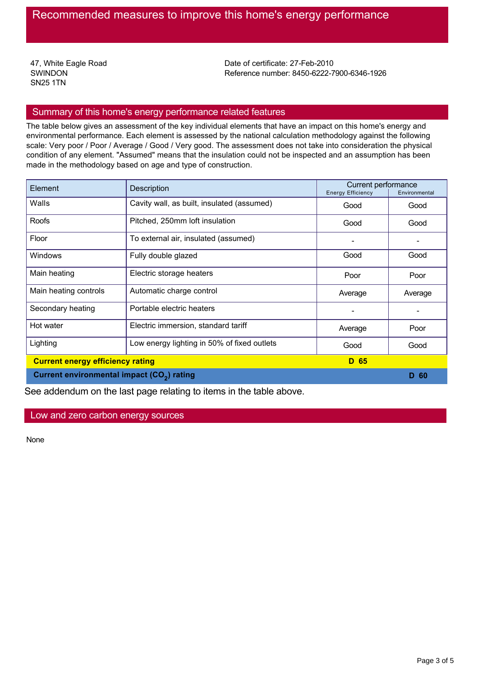47, White Eagle Road SWINDON SN25 1TN

Date of certificate: 27-Feb-2010 Reference number: 8450-6222-7900-6346-1926

## Summary of this home's energy performance related features

The table below gives an assessment of the key individual elements that have an impact on this home's energy and environmental performance. Each element is assessed by the national calculation methodology against the following scale: Very poor / Poor / Average / Good / Very good. The assessment does not take into consideration the physical condition of any element. "Assumed" means that the insulation could not be inspected and an assumption has been made in the methodology based on age and type of construction.

| Element<br>Description                                 |                                             | Current performance<br><b>Energy Efficiency</b><br>Environmental |         |
|--------------------------------------------------------|---------------------------------------------|------------------------------------------------------------------|---------|
| Walls                                                  | Cavity wall, as built, insulated (assumed)  | Good                                                             | Good    |
| Roofs                                                  | Pitched, 250mm loft insulation              | Good                                                             | Good    |
| Floor                                                  | To external air, insulated (assumed)        |                                                                  |         |
| Windows                                                | Fully double glazed                         | Good                                                             | Good    |
| Main heating                                           | Electric storage heaters                    | Poor                                                             | Poor    |
| Main heating controls                                  | Automatic charge control                    | Average                                                          | Average |
| Secondary heating                                      | Portable electric heaters                   |                                                                  |         |
| Hot water                                              | Electric immersion, standard tariff         | Average                                                          | Poor    |
| Lighting                                               | Low energy lighting in 50% of fixed outlets | Good                                                             | Good    |
| <b>Current energy efficiency rating</b>                |                                             | D 65                                                             |         |
| Current environmental impact (CO <sub>2</sub> ) rating |                                             |                                                                  | D 60    |

See addendum on the last page relating to items in the table above.

Low and zero carbon energy sources

None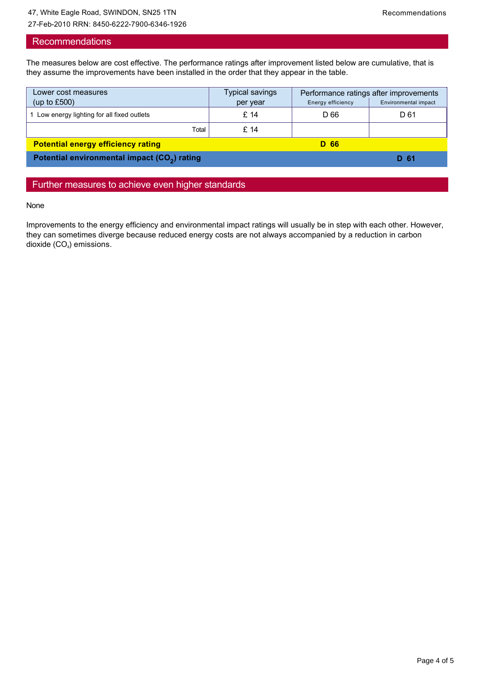27-Feb-2010 RRN: 8450-6222-7900-6346-1926

## **Recommendations**

The measures below are cost effective. The performance ratings after improvement listed below are cumulative, that is they assume the improvements have been installed in the order that they appear in the table.

| Lower cost measures                                      | Typical savings |                   | Performance ratings after improvements |
|----------------------------------------------------------|-----------------|-------------------|----------------------------------------|
| (up to $£500$ )                                          | per year        | Energy efficiency | Environmental impact                   |
| Low energy lighting for all fixed outlets                | £ 14            | D 66              | D 61                                   |
| Total                                                    | £14             |                   |                                        |
| <b>Potential energy efficiency rating</b>                |                 | D 66              |                                        |
| Potential environmental impact (CO <sub>2</sub> ) rating |                 | D 61              |                                        |

## Further measures to achieve even higher standards

None

Improvements to the energy efficiency and environmental impact ratings will usually be in step with each other. However, they can sometimes diverge because reduced energy costs are not always accompanied by a reduction in carbon dioxide  $(CO<sub>2</sub>)$  emissions.